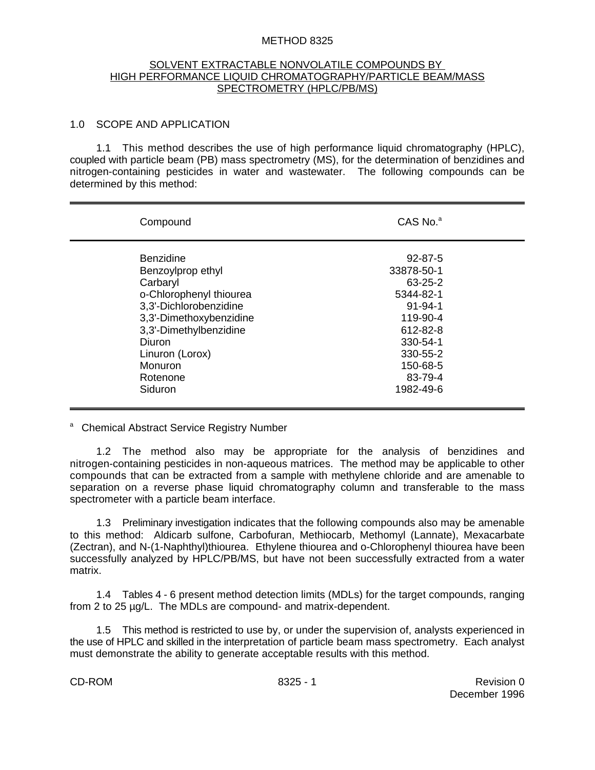#### METHOD 8325

#### SOLVENT EXTRACTABLE NONVOLATILE COMPOUNDS BY HIGH PERFORMANCE LIQUID CHROMATOGRAPHY/PARTICLE BEAM/MASS SPECTROMETRY (HPLC/PB/MS)

#### 1.0 SCOPE AND APPLICATION

1.1 This method describes the use of high performance liquid chromatography (HPLC), coupled with particle beam (PB) mass spectrometry (MS), for the determination of benzidines and nitrogen-containing pesticides in water and wastewater. The following compounds can be determined by this method:

| Compound                                                                                                                                                                                                        | CAS No. <sup>a</sup>                                                                                                                        |  |  |
|-----------------------------------------------------------------------------------------------------------------------------------------------------------------------------------------------------------------|---------------------------------------------------------------------------------------------------------------------------------------------|--|--|
| <b>Benzidine</b><br>Benzoylprop ethyl<br>Carbaryl<br>o-Chlorophenyl thiourea<br>3,3'-Dichlorobenzidine<br>3,3'-Dimethoxybenzidine<br>3,3'-Dimethylbenzidine<br>Diuron<br>Linuron (Lorox)<br>Monuron<br>Rotenone | $92 - 87 - 5$<br>33878-50-1<br>63-25-2<br>5344-82-1<br>$91 - 94 - 1$<br>119-90-4<br>612-82-8<br>330-54-1<br>330-55-2<br>150-68-5<br>83-79-4 |  |  |
| Siduron                                                                                                                                                                                                         | 1982-49-6                                                                                                                                   |  |  |

<sup>a</sup> Chemical Abstract Service Registry Number

1.2 The method also may be appropriate for the analysis of benzidines and nitrogen-containing pesticides in non-aqueous matrices. The method may be applicable to other compounds that can be extracted from a sample with methylene chloride and are amenable to separation on a reverse phase liquid chromatography column and transferable to the mass spectrometer with a particle beam interface.

1.3 Preliminary investigation indicates that the following compounds also may be amenable to this method: Aldicarb sulfone, Carbofuran, Methiocarb, Methomyl (Lannate), Mexacarbate (Zectran), and N-(1-Naphthyl)thiourea. Ethylene thiourea and o-Chlorophenyl thiourea have been successfully analyzed by HPLC/PB/MS, but have not been successfully extracted from a water matrix.

1.4 Tables 4 - 6 present method detection limits (MDLs) for the target compounds, ranging from 2 to 25 µg/L. The MDLs are compound- and matrix-dependent.

1.5 This method is restricted to use by, or under the supervision of, analysts experienced in the use of HPLC and skilled in the interpretation of particle beam mass spectrometry. Each analyst must demonstrate the ability to generate acceptable results with this method.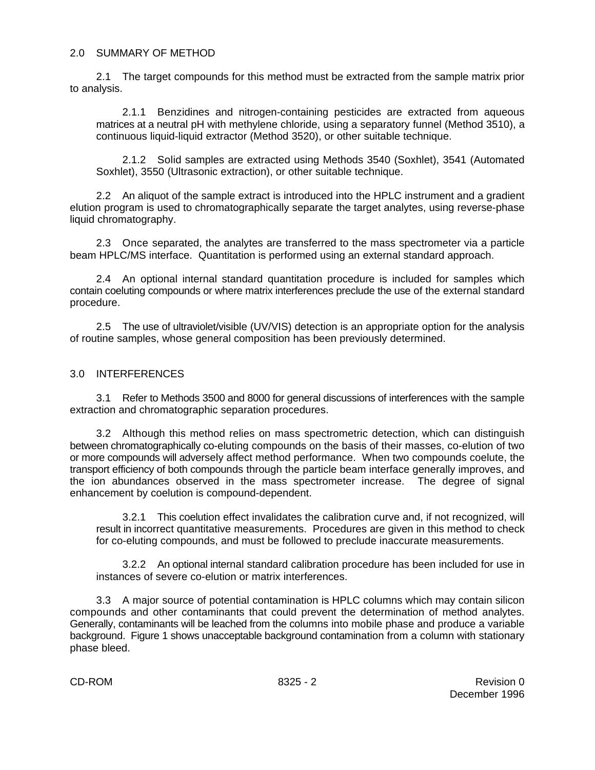2.1 The target compounds for this method must be extracted from the sample matrix prior to analysis.

2.1.1 Benzidines and nitrogen-containing pesticides are extracted from aqueous matrices at a neutral pH with methylene chloride, using a separatory funnel (Method 3510), a continuous liquid-liquid extractor (Method 3520), or other suitable technique.

2.1.2 Solid samples are extracted using Methods 3540 (Soxhlet), 3541 (Automated Soxhlet), 3550 (Ultrasonic extraction), or other suitable technique.

2.2 An aliquot of the sample extract is introduced into the HPLC instrument and a gradient elution program is used to chromatographically separate the target analytes, using reverse-phase liquid chromatography.

2.3 Once separated, the analytes are transferred to the mass spectrometer via a particle beam HPLC/MS interface. Quantitation is performed using an external standard approach.

2.4 An optional internal standard quantitation procedure is included for samples which contain coeluting compounds or where matrix interferences preclude the use of the external standard procedure.

2.5 The use of ultraviolet/visible (UV/VIS) detection is an appropriate option for the analysis of routine samples, whose general composition has been previously determined.

# 3.0 INTERFERENCES

3.1 Refer to Methods 3500 and 8000 for general discussions of interferences with the sample extraction and chromatographic separation procedures.

3.2 Although this method relies on mass spectrometric detection, which can distinguish between chromatographically co-eluting compounds on the basis of their masses, co-elution of two or more compounds will adversely affect method performance. When two compounds coelute, the transport efficiency of both compounds through the particle beam interface generally improves, and the ion abundances observed in the mass spectrometer increase. The degree of signal enhancement by coelution is compound-dependent.

3.2.1 This coelution effect invalidates the calibration curve and, if not recognized, will result in incorrect quantitative measurements. Procedures are given in this method to check for co-eluting compounds, and must be followed to preclude inaccurate measurements.

3.2.2 An optional internal standard calibration procedure has been included for use in instances of severe co-elution or matrix interferences.

3.3 A major source of potential contamination is HPLC columns which may contain silicon compounds and other contaminants that could prevent the determination of method analytes. Generally, contaminants will be leached from the columns into mobile phase and produce a variable background. Figure 1 shows unacceptable background contamination from a column with stationary phase bleed.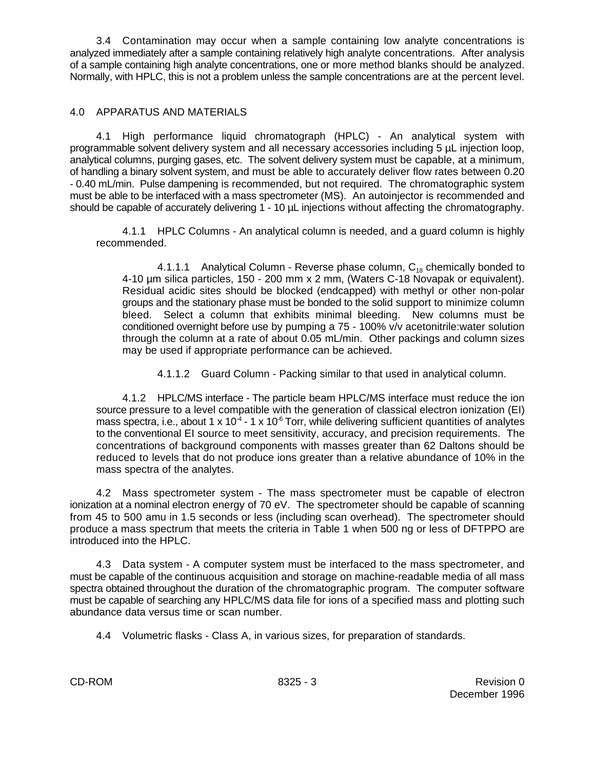3.4 Contamination may occur when a sample containing low analyte concentrations is analyzed immediately after a sample containing relatively high analyte concentrations. After analysis of a sample containing high analyte concentrations, one or more method blanks should be analyzed. Normally, with HPLC, this is not a problem unless the sample concentrations are at the percent level.

# 4.0 APPARATUS AND MATERIALS

4.1 High performance liquid chromatograph (HPLC) - An analytical system with programmable solvent delivery system and all necessary accessories including 5 µL injection loop, analytical columns, purging gases, etc. The solvent delivery system must be capable, at a minimum, of handling a binary solvent system, and must be able to accurately deliver flow rates between 0.20 - 0.40 mL/min. Pulse dampening is recommended, but not required. The chromatographic system must be able to be interfaced with a mass spectrometer (MS). An autoinjector is recommended and should be capable of accurately delivering 1 - 10 µL injections without affecting the chromatography.

4.1.1 HPLC Columns - An analytical column is needed, and a guard column is highly recommended.

4.1.1.1 Analytical Column - Reverse phase column,  $C_{18}$  chemically bonded to 4-10 µm silica particles, 150 - 200 mm x 2 mm, (Waters C-18 Novapak or equivalent). Residual acidic sites should be blocked (endcapped) with methyl or other non-polar groups and the stationary phase must be bonded to the solid support to minimize column bleed. Select a column that exhibits minimal bleeding. New columns must be conditioned overnight before use by pumping a 75 - 100% v/v acetonitrile:water solution through the column at a rate of about 0.05 mL/min. Other packings and column sizes may be used if appropriate performance can be achieved.

4.1.1.2 Guard Column - Packing similar to that used in analytical column.

4.1.2 HPLC/MS interface - The particle beam HPLC/MS interface must reduce the ion source pressure to a level compatible with the generation of classical electron ionization (EI) mass spectra, i.e., about 1 x 10<sup>-4</sup> - 1 x 10<sup>-6</sup> Torr, while delivering sufficient quantities of analytes to the conventional EI source to meet sensitivity, accuracy, and precision requirements. The concentrations of background components with masses greater than 62 Daltons should be reduced to levels that do not produce ions greater than a relative abundance of 10% in the mass spectra of the analytes.

4.2 Mass spectrometer system - The mass spectrometer must be capable of electron ionization at a nominal electron energy of 70 eV. The spectrometer should be capable of scanning from 45 to 500 amu in 1.5 seconds or less (including scan overhead). The spectrometer should produce a mass spectrum that meets the criteria in Table 1 when 500 ng or less of DFTPPO are introduced into the HPLC.

4.3 Data system - A computer system must be interfaced to the mass spectrometer, and must be capable of the continuous acquisition and storage on machine-readable media of all mass spectra obtained throughout the duration of the chromatographic program. The computer software must be capable of searching any HPLC/MS data file for ions of a specified mass and plotting such abundance data versus time or scan number.

4.4 Volumetric flasks - Class A, in various sizes, for preparation of standards.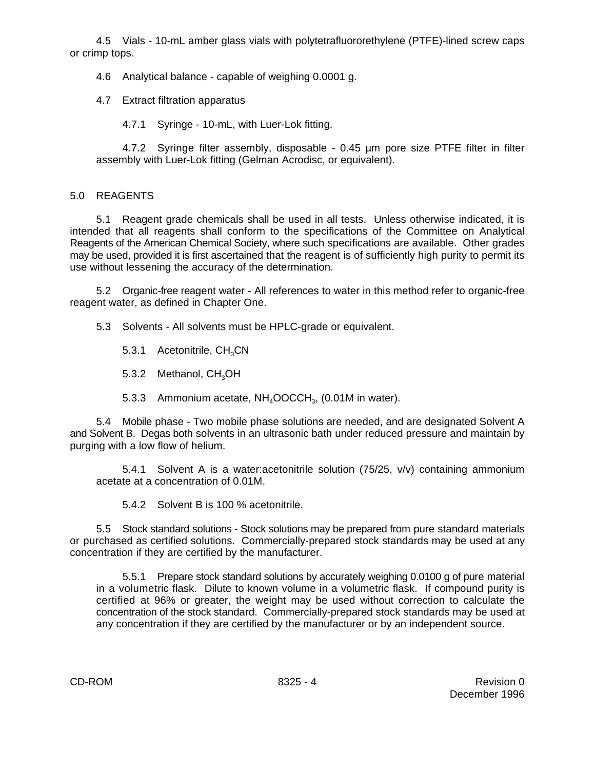4.5 Vials - 10-mL amber glass vials with polytetrafluororethylene (PTFE)-lined screw caps or crimp tops.

4.6 Analytical balance - capable of weighing 0.0001 g.

4.7 Extract filtration apparatus

4.7.1 Syringe - 10-mL, with Luer-Lok fitting.

4.7.2 Syringe filter assembly, disposable - 0.45 µm pore size PTFE filter in filter assembly with Luer-Lok fitting (Gelman Acrodisc, or equivalent).

# 5.0 REAGENTS

5.1 Reagent grade chemicals shall be used in all tests. Unless otherwise indicated, it is intended that all reagents shall conform to the specifications of the Committee on Analytical Reagents of the American Chemical Society, where such specifications are available. Other grades may be used, provided it is first ascertained that the reagent is of sufficiently high purity to permit its use without lessening the accuracy of the determination.

5.2 Organic-free reagent water - All references to water in this method refer to organic-free reagent water, as defined in Chapter One.

5.3 Solvents - All solvents must be HPLC-grade or equivalent.

5.3.1 Acetonitrile, CH<sub>3</sub>CN

5.3.2 Methanol, CH<sub>3</sub>OH

5.3.3 Ammonium acetate,  $NH_4$ OOCCH<sub>3</sub>, (0.01M in water).

5.4 Mobile phase - Two mobile phase solutions are needed, and are designated Solvent A and Solvent B. Degas both solvents in an ultrasonic bath under reduced pressure and maintain by purging with a low flow of helium.

5.4.1 Solvent A is a water:acetonitrile solution (75/25, v/v) containing ammonium acetate at a concentration of 0.01M.

5.4.2 Solvent B is 100 % acetonitrile.

5.5 Stock standard solutions - Stock solutions may be prepared from pure standard materials or purchased as certified solutions. Commercially-prepared stock standards may be used at any concentration if they are certified by the manufacturer.

5.5.1 Prepare stock standard solutions by accurately weighing 0.0100 g of pure material in a volumetric flask. Dilute to known volume in a volumetric flask. If compound purity is certified at 96% or greater, the weight may be used without correction to calculate the concentration of the stock standard. Commercially-prepared stock standards may be used at any concentration if they are certified by the manufacturer or by an independent source.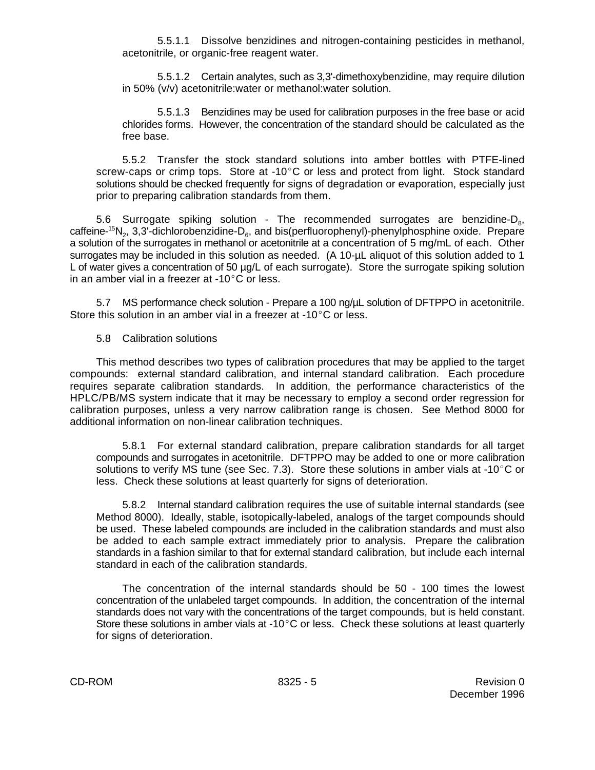5.5.1.1 Dissolve benzidines and nitrogen-containing pesticides in methanol, acetonitrile, or organic-free reagent water.

5.5.1.2 Certain analytes, such as 3,3'-dimethoxybenzidine, may require dilution in 50% (v/v) acetonitrile:water or methanol:water solution.

5.5.1.3 Benzidines may be used for calibration purposes in the free base or acid chlorides forms. However, the concentration of the standard should be calculated as the free base.

5.5.2 Transfer the stock standard solutions into amber bottles with PTFE-lined screw-caps or crimp tops. Store at -10 $\degree$ C or less and protect from light. Stock standard solutions should be checked frequently for signs of degradation or evaporation, especially just prior to preparing calibration standards from them.

5.6 Surrogate spiking solution - The recommended surrogates are benzidine- $D_{8}$ , caffeine-<sup>15</sup>N<sub>2</sub>, 3,3'-dichlorobenzidine-D<sub>6</sub>, and bis(perfluorophenyl)-phenylphosphine oxide. Prepare a solution of the surrogates in methanol or acetonitrile at a concentration of 5 mg/mL of each. Other surrogates may be included in this solution as needed. (A 10-µL aliquot of this solution added to 1 L of water gives a concentration of 50 µg/L of each surrogate). Store the surrogate spiking solution in an amber vial in a freezer at  $-10^{\circ}$ C or less.

5.7 MS performance check solution - Prepare a 100 ng/µL solution of DFTPPO in acetonitrile. Store this solution in an amber vial in a freezer at -10 $^{\circ}$ C or less.

5.8 Calibration solutions

This method describes two types of calibration procedures that may be applied to the target compounds: external standard calibration, and internal standard calibration. Each procedure requires separate calibration standards. In addition, the performance characteristics of the HPLC/PB/MS system indicate that it may be necessary to employ a second order regression for calibration purposes, unless a very narrow calibration range is chosen. See Method 8000 for additional information on non-linear calibration techniques.

5.8.1 For external standard calibration, prepare calibration standards for all target compounds and surrogates in acetonitrile. DFTPPO may be added to one or more calibration solutions to verify MS tune (see Sec. 7.3). Store these solutions in amber vials at -10 $^{\circ}$ C or less. Check these solutions at least quarterly for signs of deterioration.

5.8.2 Internal standard calibration requires the use of suitable internal standards (see Method 8000). Ideally, stable, isotopically-labeled, analogs of the target compounds should be used. These labeled compounds are included in the calibration standards and must also be added to each sample extract immediately prior to analysis. Prepare the calibration standards in a fashion similar to that for external standard calibration, but include each internal standard in each of the calibration standards.

The concentration of the internal standards should be 50 - 100 times the lowest concentration of the unlabeled target compounds. In addition, the concentration of the internal standards does not vary with the concentrations of the target compounds, but is held constant. Store these solutions in amber vials at  $-10^{\circ}$ C or less. Check these solutions at least quarterly for signs of deterioration.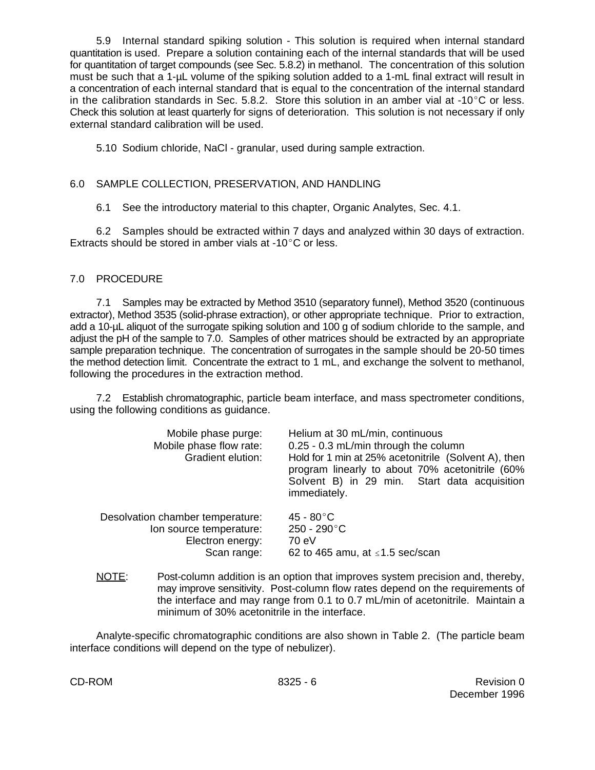5.9 Internal standard spiking solution - This solution is required when internal standard quantitation is used. Prepare a solution containing each of the internal standards that will be used for quantitation of target compounds (see Sec. 5.8.2) in methanol. The concentration of this solution must be such that a 1-µL volume of the spiking solution added to a 1-mL final extract will result in a concentration of each internal standard that is equal to the concentration of the internal standard in the calibration standards in Sec. 5.8.2. Store this solution in an amber vial at -10 $^{\circ}$ C or less. Check this solution at least quarterly for signs of deterioration. This solution is not necessary if only external standard calibration will be used.

5.10 Sodium chloride, NaCl - granular, used during sample extraction.

# 6.0 SAMPLE COLLECTION, PRESERVATION, AND HANDLING

6.1 See the introductory material to this chapter, Organic Analytes, Sec. 4.1.

6.2 Samples should be extracted within 7 days and analyzed within 30 days of extraction. Extracts should be stored in amber vials at  $-10^{\circ}$ C or less.

# 7.0 PROCEDURE

7.1 Samples may be extracted by Method 3510 (separatory funnel), Method 3520 (continuous extractor), Method 3535 (solid-phrase extraction), or other appropriate technique. Prior to extraction, add a 10-µL aliquot of the surrogate spiking solution and 100 g of sodium chloride to the sample, and adjust the pH of the sample to 7.0. Samples of other matrices should be extracted by an appropriate sample preparation technique. The concentration of surrogates in the sample should be 20-50 times the method detection limit. Concentrate the extract to 1 mL, and exchange the solvent to methanol, following the procedures in the extraction method.

7.2 Establish chromatographic, particle beam interface, and mass spectrometer conditions, using the following conditions as guidance.

| Mobile phase purge:<br>Mobile phase flow rate:<br>Gradient elution: | Helium at 30 mL/min, continuous<br>0.25 - 0.3 mL/min through the column<br>Hold for 1 min at 25% acetonitrile (Solvent A), then<br>program linearly to about 70% acetonitrile (60%<br>Solvent B) in 29 min. Start data acquisition<br>immediately. |
|---------------------------------------------------------------------|----------------------------------------------------------------------------------------------------------------------------------------------------------------------------------------------------------------------------------------------------|
| Desolvation chamber temperature:                                    | $45 - 80^{\circ}$ C                                                                                                                                                                                                                                |
| Ion source temperature:                                             | 250 - 290 °C                                                                                                                                                                                                                                       |
| Electron energy:                                                    | 70 eV                                                                                                                                                                                                                                              |
| Scan range:                                                         | 62 to 465 amu, at $\leq$ 1.5 sec/scan                                                                                                                                                                                                              |

NOTE: Post-column addition is an option that improves system precision and, thereby, may improve sensitivity. Post-column flow rates depend on the requirements of the interface and may range from 0.1 to 0.7 mL/min of acetonitrile. Maintain a minimum of 30% acetonitrile in the interface.

Analyte-specific chromatographic conditions are also shown in Table 2. (The particle beam interface conditions will depend on the type of nebulizer).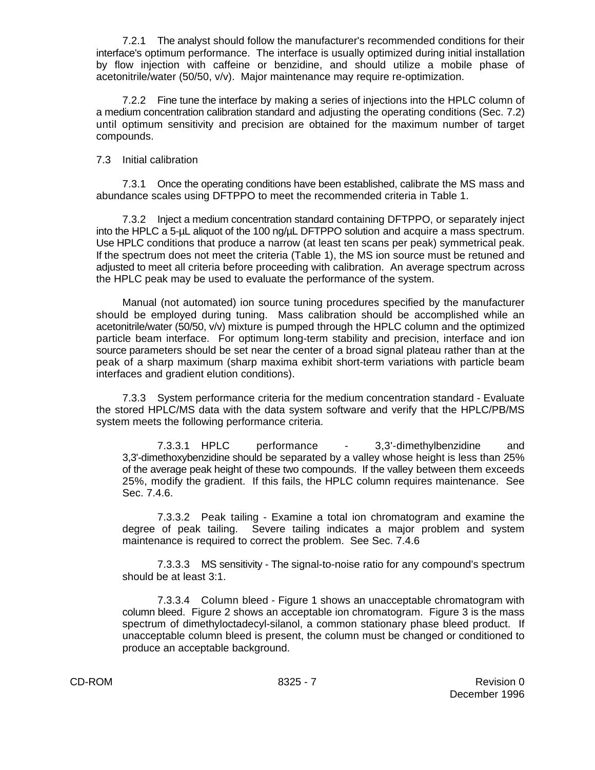7.2.1 The analyst should follow the manufacturer's recommended conditions for their interface's optimum performance. The interface is usually optimized during initial installation by flow injection with caffeine or benzidine, and should utilize a mobile phase of acetonitrile/water (50/50, v/v). Major maintenance may require re-optimization.

7.2.2 Fine tune the interface by making a series of injections into the HPLC column of a medium concentration calibration standard and adjusting the operating conditions (Sec. 7.2) until optimum sensitivity and precision are obtained for the maximum number of target compounds.

# 7.3 Initial calibration

7.3.1 Once the operating conditions have been established, calibrate the MS mass and abundance scales using DFTPPO to meet the recommended criteria in Table 1.

7.3.2 Inject a medium concentration standard containing DFTPPO, or separately inject into the HPLC a 5-µL aliquot of the 100 ng/ $\mu$ L DFTPPO solution and acquire a mass spectrum. Use HPLC conditions that produce a narrow (at least ten scans per peak) symmetrical peak. If the spectrum does not meet the criteria (Table 1), the MS ion source must be retuned and adjusted to meet all criteria before proceeding with calibration. An average spectrum across the HPLC peak may be used to evaluate the performance of the system.

Manual (not automated) ion source tuning procedures specified by the manufacturer should be employed during tuning. Mass calibration should be accomplished while an acetonitrile/water (50/50, v/v) mixture is pumped through the HPLC column and the optimized particle beam interface. For optimum long-term stability and precision, interface and ion source parameters should be set near the center of a broad signal plateau rather than at the peak of a sharp maximum (sharp maxima exhibit short-term variations with particle beam interfaces and gradient elution conditions).

7.3.3 System performance criteria for the medium concentration standard - Evaluate the stored HPLC/MS data with the data system software and verify that the HPLC/PB/MS system meets the following performance criteria.

7.3.3.1 HPLC performance - 3,3'-dimethylbenzidine and 3,3'-dimethoxybenzidine should be separated by a valley whose height is less than 25% of the average peak height of these two compounds. If the valley between them exceeds 25%, modify the gradient. If this fails, the HPLC column requires maintenance. See Sec. 7.4.6.

7.3.3.2 Peak tailing - Examine a total ion chromatogram and examine the degree of peak tailing. Severe tailing indicates a major problem and system maintenance is required to correct the problem. See Sec. 7.4.6

7.3.3.3 MS sensitivity - The signal-to-noise ratio for any compound's spectrum should be at least 3:1.

7.3.3.4 Column bleed - Figure 1 shows an unacceptable chromatogram with column bleed. Figure 2 shows an acceptable ion chromatogram. Figure 3 is the mass spectrum of dimethyloctadecyl-silanol, a common stationary phase bleed product. If unacceptable column bleed is present, the column must be changed or conditioned to produce an acceptable background.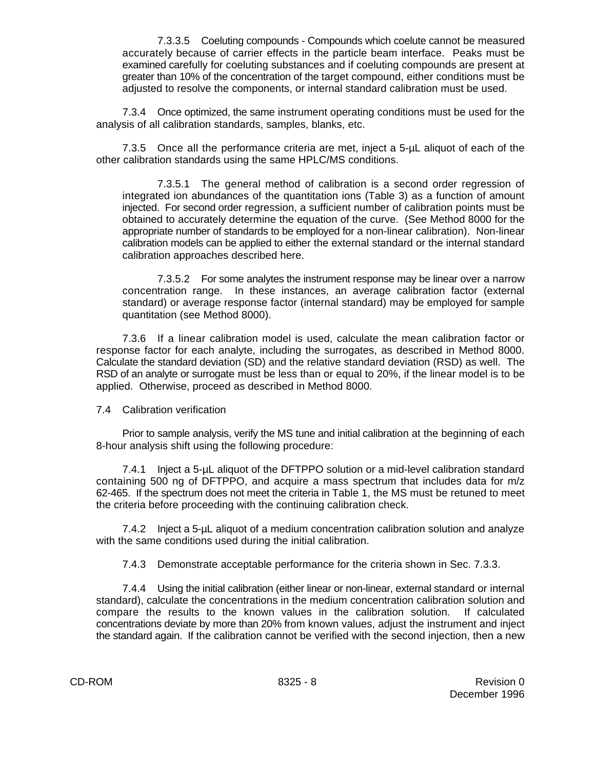7.3.3.5 Coeluting compounds - Compounds which coelute cannot be measured accurately because of carrier effects in the particle beam interface. Peaks must be examined carefully for coeluting substances and if coeluting compounds are present at greater than 10% of the concentration of the target compound, either conditions must be adjusted to resolve the components, or internal standard calibration must be used.

7.3.4 Once optimized, the same instrument operating conditions must be used for the analysis of all calibration standards, samples, blanks, etc.

7.3.5 Once all the performance criteria are met, inject a 5-µL aliquot of each of the other calibration standards using the same HPLC/MS conditions.

7.3.5.1 The general method of calibration is a second order regression of integrated ion abundances of the quantitation ions (Table 3) as a function of amount injected. For second order regression, a sufficient number of calibration points must be obtained to accurately determine the equation of the curve. (See Method 8000 for the appropriate number of standards to be employed for a non-linear calibration). Non-linear calibration models can be applied to either the external standard or the internal standard calibration approaches described here.

7.3.5.2 For some analytes the instrument response may be linear over a narrow concentration range. In these instances, an average calibration factor (external standard) or average response factor (internal standard) may be employed for sample quantitation (see Method 8000).

7.3.6 If a linear calibration model is used, calculate the mean calibration factor or response factor for each analyte, including the surrogates, as described in Method 8000. Calculate the standard deviation (SD) and the relative standard deviation (RSD) as well. The RSD of an analyte or surrogate must be less than or equal to 20%, if the linear model is to be applied. Otherwise, proceed as described in Method 8000.

7.4 Calibration verification

Prior to sample analysis, verify the MS tune and initial calibration at the beginning of each 8-hour analysis shift using the following procedure:

7.4.1 Inject a 5-µL aliquot of the DFTPPO solution or a mid-level calibration standard containing 500 ng of DFTPPO, and acquire a mass spectrum that includes data for m/z 62-465. If the spectrum does not meet the criteria in Table 1, the MS must be retuned to meet the criteria before proceeding with the continuing calibration check.

7.4.2 Inject a 5-µL aliquot of a medium concentration calibration solution and analyze with the same conditions used during the initial calibration.

7.4.3 Demonstrate acceptable performance for the criteria shown in Sec. 7.3.3.

7.4.4 Using the initial calibration (either linear or non-linear, external standard or internal standard), calculate the concentrations in the medium concentration calibration solution and compare the results to the known values in the calibration solution. If calculated concentrations deviate by more than 20% from known values, adjust the instrument and inject the standard again. If the calibration cannot be verified with the second injection, then a new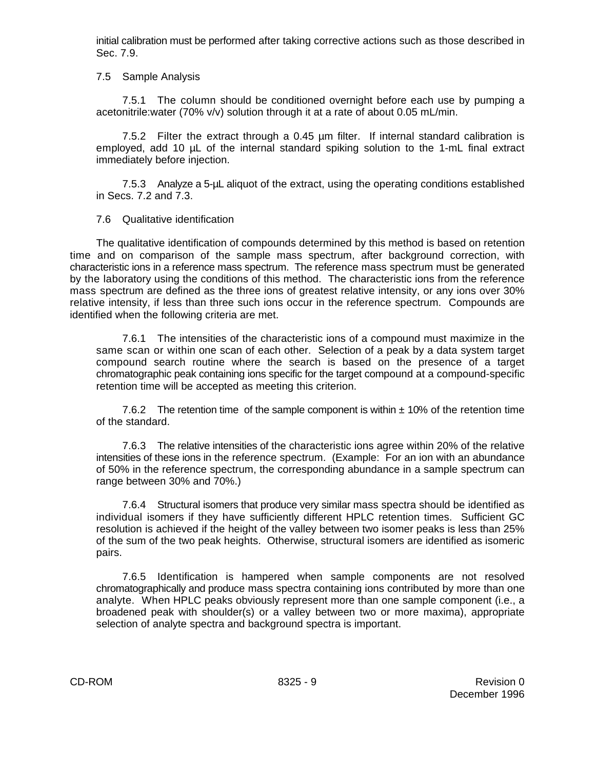initial calibration must be performed after taking corrective actions such as those described in Sec. 7.9.

7.5 Sample Analysis

7.5.1 The column should be conditioned overnight before each use by pumping a acetonitrile:water (70% v/v) solution through it at a rate of about 0.05 mL/min.

7.5.2 Filter the extract through a 0.45 µm filter. If internal standard calibration is employed, add 10 µL of the internal standard spiking solution to the 1-mL final extract immediately before injection.

7.5.3 Analyze a 5-µL aliquot of the extract, using the operating conditions established in Secs. 7.2 and 7.3.

7.6 Qualitative identification

The qualitative identification of compounds determined by this method is based on retention time and on comparison of the sample mass spectrum, after background correction, with characteristic ions in a reference mass spectrum. The reference mass spectrum must be generated by the laboratory using the conditions of this method. The characteristic ions from the reference mass spectrum are defined as the three ions of greatest relative intensity, or any ions over 30% relative intensity, if less than three such ions occur in the reference spectrum. Compounds are identified when the following criteria are met.

7.6.1 The intensities of the characteristic ions of a compound must maximize in the same scan or within one scan of each other. Selection of a peak by a data system target compound search routine where the search is based on the presence of a target chromatographic peak containing ions specific for the target compound at a compound-specific retention time will be accepted as meeting this criterion.

7.6.2 The retention time of the sample component is within  $\pm$  10% of the retention time of the standard.

7.6.3 The relative intensities of the characteristic ions agree within 20% of the relative intensities of these ions in the reference spectrum. (Example: For an ion with an abundance of 50% in the reference spectrum, the corresponding abundance in a sample spectrum can range between 30% and 70%.)

7.6.4 Structural isomers that produce very similar mass spectra should be identified as individual isomers if they have sufficiently different HPLC retention times. Sufficient GC resolution is achieved if the height of the valley between two isomer peaks is less than 25% of the sum of the two peak heights. Otherwise, structural isomers are identified as isomeric pairs.

7.6.5 Identification is hampered when sample components are not resolved chromatographically and produce mass spectra containing ions contributed by more than one analyte. When HPLC peaks obviously represent more than one sample component (i.e., a broadened peak with shoulder(s) or a valley between two or more maxima), appropriate selection of analyte spectra and background spectra is important.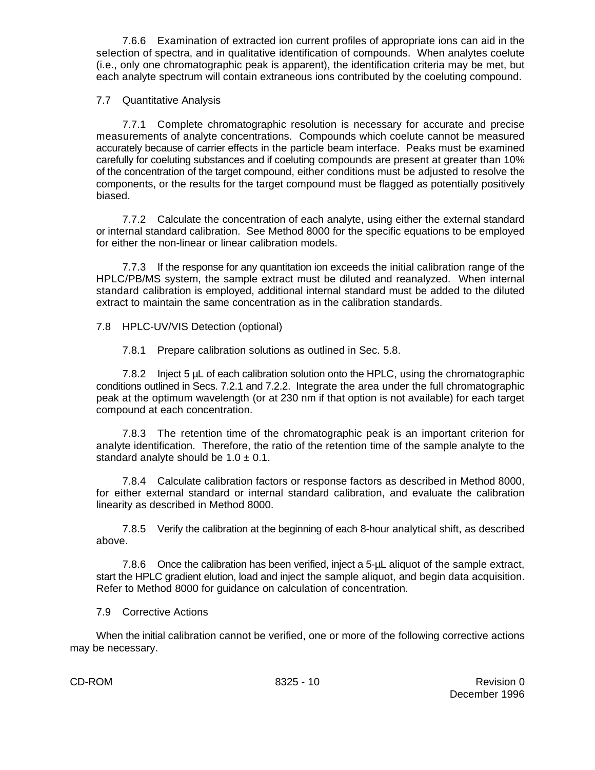7.6.6 Examination of extracted ion current profiles of appropriate ions can aid in the selection of spectra, and in qualitative identification of compounds. When analytes coelute (i.e., only one chromatographic peak is apparent), the identification criteria may be met, but each analyte spectrum will contain extraneous ions contributed by the coeluting compound.

## 7.7 Quantitative Analysis

7.7.1 Complete chromatographic resolution is necessary for accurate and precise measurements of analyte concentrations. Compounds which coelute cannot be measured accurately because of carrier effects in the particle beam interface. Peaks must be examined carefully for coeluting substances and if coeluting compounds are present at greater than 10% of the concentration of the target compound, either conditions must be adjusted to resolve the components, or the results for the target compound must be flagged as potentially positively biased.

7.7.2 Calculate the concentration of each analyte, using either the external standard or internal standard calibration. See Method 8000 for the specific equations to be employed for either the non-linear or linear calibration models.

7.7.3 If the response for any quantitation ion exceeds the initial calibration range of the HPLC/PB/MS system, the sample extract must be diluted and reanalyzed. When internal standard calibration is employed, additional internal standard must be added to the diluted extract to maintain the same concentration as in the calibration standards.

7.8 HPLC-UV/VIS Detection (optional)

7.8.1 Prepare calibration solutions as outlined in Sec. 5.8.

7.8.2 Inject 5 µL of each calibration solution onto the HPLC, using the chromatographic conditions outlined in Secs. 7.2.1 and 7.2.2. Integrate the area under the full chromatographic peak at the optimum wavelength (or at 230 nm if that option is not available) for each target compound at each concentration.

7.8.3 The retention time of the chromatographic peak is an important criterion for analyte identification. Therefore, the ratio of the retention time of the sample analyte to the standard analyte should be  $1.0 \pm 0.1$ .

7.8.4 Calculate calibration factors or response factors as described in Method 8000, for either external standard or internal standard calibration, and evaluate the calibration linearity as described in Method 8000.

7.8.5 Verify the calibration at the beginning of each 8-hour analytical shift, as described above.

7.8.6 Once the calibration has been verified, inject a 5-µL aliquot of the sample extract, start the HPLC gradient elution, load and inject the sample aliquot, and begin data acquisition. Refer to Method 8000 for guidance on calculation of concentration.

#### 7.9 Corrective Actions

When the initial calibration cannot be verified, one or more of the following corrective actions may be necessary.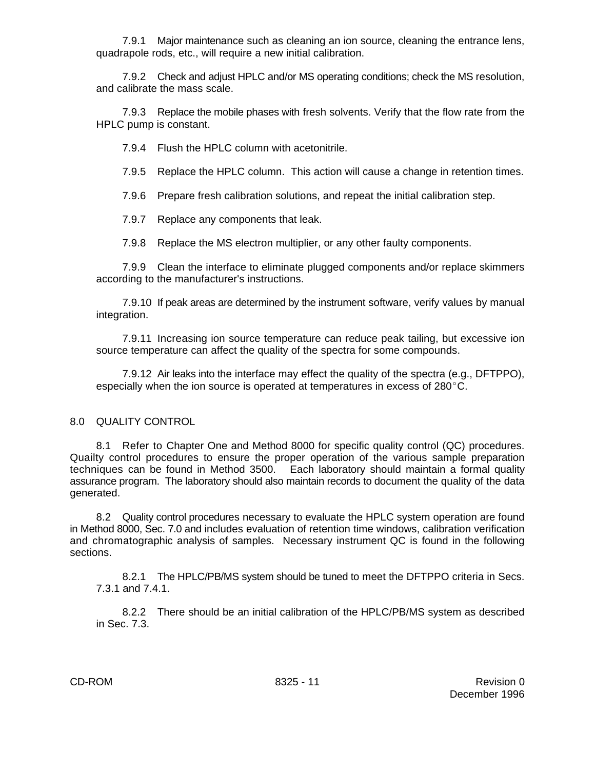7.9.1 Major maintenance such as cleaning an ion source, cleaning the entrance lens, quadrapole rods, etc., will require a new initial calibration.

7.9.2 Check and adjust HPLC and/or MS operating conditions; check the MS resolution, and calibrate the mass scale.

7.9.3 Replace the mobile phases with fresh solvents. Verify that the flow rate from the HPLC pump is constant.

7.9.4 Flush the HPLC column with acetonitrile.

7.9.5 Replace the HPLC column. This action will cause a change in retention times.

7.9.6 Prepare fresh calibration solutions, and repeat the initial calibration step.

7.9.7 Replace any components that leak.

7.9.8 Replace the MS electron multiplier, or any other faulty components.

7.9.9 Clean the interface to eliminate plugged components and/or replace skimmers according to the manufacturer's instructions.

7.9.10 If peak areas are determined by the instrument software, verify values by manual integration.

7.9.11 Increasing ion source temperature can reduce peak tailing, but excessive ion source temperature can affect the quality of the spectra for some compounds.

7.9.12 Air leaks into the interface may effect the quality of the spectra (e.g., DFTPPO), especially when the ion source is operated at temperatures in excess of  $280^{\circ}$ C.

# 8.0 QUALITY CONTROL

8.1 Refer to Chapter One and Method 8000 for specific quality control (QC) procedures. Quailty control procedures to ensure the proper operation of the various sample preparation techniques can be found in Method 3500. Each laboratory should maintain a formal quality assurance program. The laboratory should also maintain records to document the quality of the data generated.

8.2 Quality control procedures necessary to evaluate the HPLC system operation are found in Method 8000, Sec. 7.0 and includes evaluation of retention time windows, calibration verification and chromatographic analysis of samples. Necessary instrument QC is found in the following sections.

8.2.1 The HPLC/PB/MS system should be tuned to meet the DFTPPO criteria in Secs. 7.3.1 and 7.4.1.

8.2.2 There should be an initial calibration of the HPLC/PB/MS system as described in Sec. 7.3.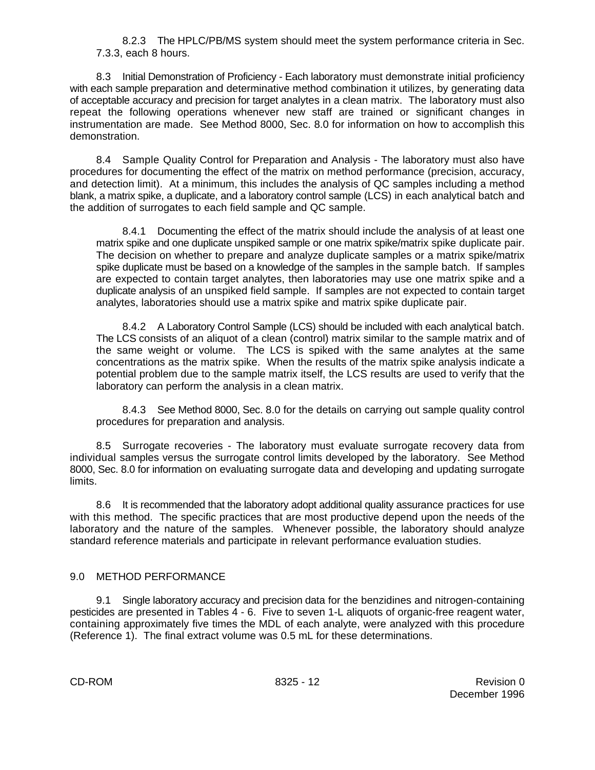8.2.3 The HPLC/PB/MS system should meet the system performance criteria in Sec. 7.3.3, each 8 hours.

8.3 Initial Demonstration of Proficiency - Each laboratory must demonstrate initial proficiency with each sample preparation and determinative method combination it utilizes, by generating data of acceptable accuracy and precision for target analytes in a clean matrix. The laboratory must also repeat the following operations whenever new staff are trained or significant changes in instrumentation are made. See Method 8000, Sec. 8.0 for information on how to accomplish this demonstration.

8.4 Sample Quality Control for Preparation and Analysis - The laboratory must also have procedures for documenting the effect of the matrix on method performance (precision, accuracy, and detection limit). At a minimum, this includes the analysis of QC samples including a method blank, a matrix spike, a duplicate, and a laboratory control sample (LCS) in each analytical batch and the addition of surrogates to each field sample and QC sample.

8.4.1 Documenting the effect of the matrix should include the analysis of at least one matrix spike and one duplicate unspiked sample or one matrix spike/matrix spike duplicate pair. The decision on whether to prepare and analyze duplicate samples or a matrix spike/matrix spike duplicate must be based on a knowledge of the samples in the sample batch. If samples are expected to contain target analytes, then laboratories may use one matrix spike and a duplicate analysis of an unspiked field sample. If samples are not expected to contain target analytes, laboratories should use a matrix spike and matrix spike duplicate pair.

8.4.2 A Laboratory Control Sample (LCS) should be included with each analytical batch. The LCS consists of an aliquot of a clean (control) matrix similar to the sample matrix and of the same weight or volume. The LCS is spiked with the same analytes at the same concentrations as the matrix spike. When the results of the matrix spike analysis indicate a potential problem due to the sample matrix itself, the LCS results are used to verify that the laboratory can perform the analysis in a clean matrix.

8.4.3 See Method 8000, Sec. 8.0 for the details on carrying out sample quality control procedures for preparation and analysis.

8.5 Surrogate recoveries - The laboratory must evaluate surrogate recovery data from individual samples versus the surrogate control limits developed by the laboratory. See Method 8000, Sec. 8.0 for information on evaluating surrogate data and developing and updating surrogate limits.

8.6 It is recommended that the laboratory adopt additional quality assurance practices for use with this method. The specific practices that are most productive depend upon the needs of the laboratory and the nature of the samples. Whenever possible, the laboratory should analyze standard reference materials and participate in relevant performance evaluation studies.

# 9.0 METHOD PERFORMANCE

9.1 Single laboratory accuracy and precision data for the benzidines and nitrogen-containing pesticides are presented in Tables 4 - 6. Five to seven 1-L aliquots of organic-free reagent water, containing approximately five times the MDL of each analyte, were analyzed with this procedure (Reference 1). The final extract volume was 0.5 mL for these determinations.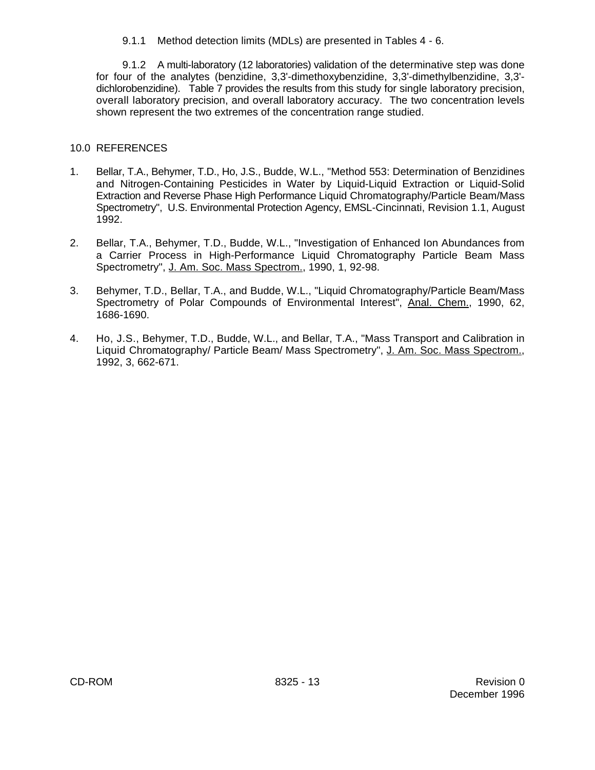9.1.1 Method detection limits (MDLs) are presented in Tables 4 - 6.

9.1.2 A multi-laboratory (12 laboratories) validation of the determinative step was done for four of the analytes (benzidine, 3,3'-dimethoxybenzidine, 3,3'-dimethylbenzidine, 3,3' dichlorobenzidine). Table 7 provides the results from this study for single laboratory precision, overall laboratory precision, and overall laboratory accuracy. The two concentration levels shown represent the two extremes of the concentration range studied.

# 10.0 REFERENCES

- 1. Bellar, T.A., Behymer, T.D., Ho, J.S., Budde, W.L., "Method 553: Determination of Benzidines and Nitrogen-Containing Pesticides in Water by Liquid-Liquid Extraction or Liquid-Solid Extraction and Reverse Phase High Performance Liquid Chromatography/Particle Beam/Mass Spectrometry", U.S. Environmental Protection Agency, EMSL-Cincinnati, Revision 1.1, August 1992.
- 2. Bellar, T.A., Behymer, T.D., Budde, W.L., "Investigation of Enhanced Ion Abundances from a Carrier Process in High-Performance Liquid Chromatography Particle Beam Mass Spectrometry", J. Am. Soc. Mass Spectrom., 1990, 1, 92-98.
- 3. Behymer, T.D., Bellar, T.A., and Budde, W.L., "Liquid Chromatography/Particle Beam/Mass Spectrometry of Polar Compounds of Environmental Interest", Anal. Chem., 1990, 62, 1686-1690.
- 4. Ho, J.S., Behymer, T.D., Budde, W.L., and Bellar, T.A., "Mass Transport and Calibration in Liquid Chromatography/ Particle Beam/ Mass Spectrometry", J. Am. Soc. Mass Spectrom., 1992, 3, 662-671.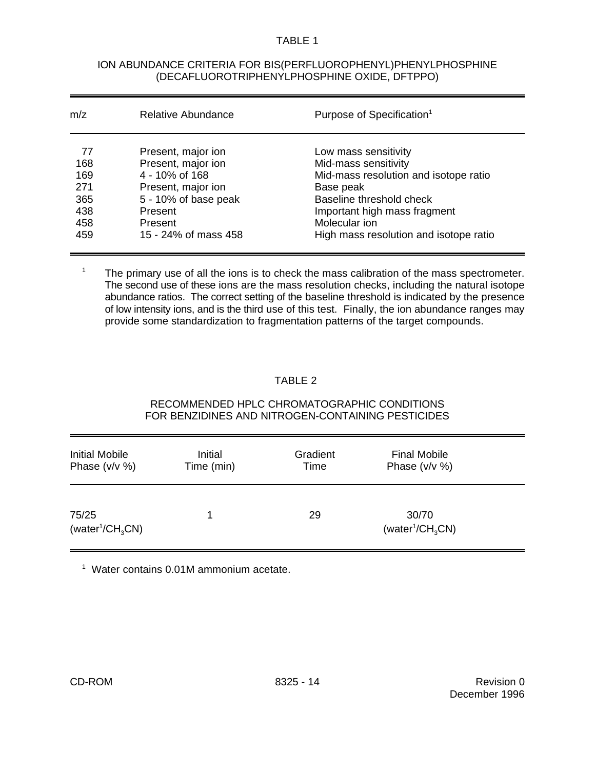#### ION ABUNDANCE CRITERIA FOR BIS(PERFLUOROPHENYL)PHENYLPHOSPHINE (DECAFLUOROTRIPHENYLPHOSPHINE OXIDE, DFTPPO)

| m/z<br>Relative Abundance |                      | Purpose of Specification <sup>1</sup>  |  |  |  |  |
|---------------------------|----------------------|----------------------------------------|--|--|--|--|
| 77                        | Present, major ion   | Low mass sensitivity                   |  |  |  |  |
| 168                       | Present, major ion   | Mid-mass sensitivity                   |  |  |  |  |
| 169                       | 4 - 10% of 168       | Mid-mass resolution and isotope ratio  |  |  |  |  |
| 271                       | Present, major ion   | Base peak                              |  |  |  |  |
| 365                       | 5 - 10% of base peak | Baseline threshold check               |  |  |  |  |
| 438                       | Present              | Important high mass fragment           |  |  |  |  |
| 458                       | Present              | Molecular ion                          |  |  |  |  |
| 459                       | 15 - 24% of mass 458 | High mass resolution and isotope ratio |  |  |  |  |

<sup>1</sup> The primary use of all the ions is to check the mass calibration of the mass spectrometer. The second use of these ions are the mass resolution checks, including the natural isotope abundance ratios. The correct setting of the baseline threshold is indicated by the presence of low intensity ions, and is the third use of this test. Finally, the ion abundance ranges may provide some standardization to fragmentation patterns of the target compounds.

# TABLE 2

# Initial Mobile **Initial** Gradient **Final Mobile** Phase (v/v %) Time (min) Time Time Phase (v/v %) 75/25 1 29 30/70  $(\text{water}^1/\text{CH}_3\text{CN})$  (water<sup>1</sup>/CH<sub>3</sub>CN)

## RECOMMENDED HPLC CHROMATOGRAPHIC CONDITIONS FOR BENZIDINES AND NITROGEN-CONTAINING PESTICIDES

 $1$  Water contains 0.01M ammonium acetate.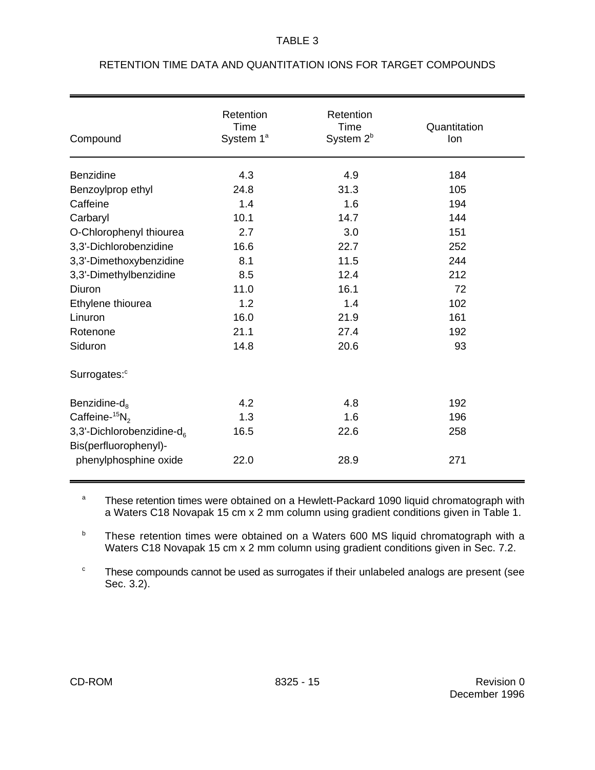| Compound                                                       | Retention<br>Time<br>System 1 <sup>a</sup> | Retention<br>Time<br>System $2^b$ | Quantitation<br>lon |  |  |
|----------------------------------------------------------------|--------------------------------------------|-----------------------------------|---------------------|--|--|
| <b>Benzidine</b>                                               | 4.3                                        | 4.9                               | 184                 |  |  |
| Benzoylprop ethyl                                              | 24.8                                       | 31.3                              | 105                 |  |  |
| Caffeine                                                       | 1.4                                        | 1.6                               | 194                 |  |  |
| Carbaryl                                                       | 10.1                                       | 14.7                              | 144                 |  |  |
| O-Chlorophenyl thiourea                                        | 2.7                                        | 3.0                               | 151                 |  |  |
| 3,3'-Dichlorobenzidine                                         | 16.6                                       | 22.7                              | 252                 |  |  |
| 3,3'-Dimethoxybenzidine                                        | 8.1                                        | 11.5                              | 244                 |  |  |
| 3,3'-Dimethylbenzidine                                         | 8.5                                        | 12.4<br>212                       |                     |  |  |
| Diuron                                                         | 11.0                                       | 16.1                              | 72                  |  |  |
| Ethylene thiourea                                              | 1.2                                        | 1.4                               | 102                 |  |  |
| Linuron                                                        | 16.0                                       | 21.9                              | 161                 |  |  |
| Rotenone                                                       | 21.1                                       | 27.4                              | 192                 |  |  |
| Siduron                                                        | 14.8                                       | 20.6                              | 93                  |  |  |
| Surrogates: <sup>c</sup>                                       |                                            |                                   |                     |  |  |
| Benzidine-d <sub>8</sub>                                       | 4.2                                        | 4.8                               | 192                 |  |  |
| Caffeine- ${}^{15}N_2$                                         | 1.3                                        | 1.6                               | 196                 |  |  |
| 3,3'-Dichlorobenzidine-d <sub>6</sub><br>Bis(perfluorophenyl)- | 16.5                                       | 22.6                              | 258                 |  |  |
| phenylphosphine oxide                                          | 22.0                                       | 28.9                              | 271                 |  |  |

# RETENTION TIME DATA AND QUANTITATION IONS FOR TARGET COMPOUNDS

<sup>a</sup> These retention times were obtained on a Hewlett-Packard 1090 liquid chromatograph with a Waters C18 Novapak 15 cm x 2 mm column using gradient conditions given in Table 1.

 These retention times were obtained on a Waters 600 MS liquid chromatograph with a b Waters C18 Novapak 15 cm x 2 mm column using gradient conditions given in Sec. 7.2.

<sup>c</sup> These compounds cannot be used as surrogates if their unlabeled analogs are present (see Sec. 3.2).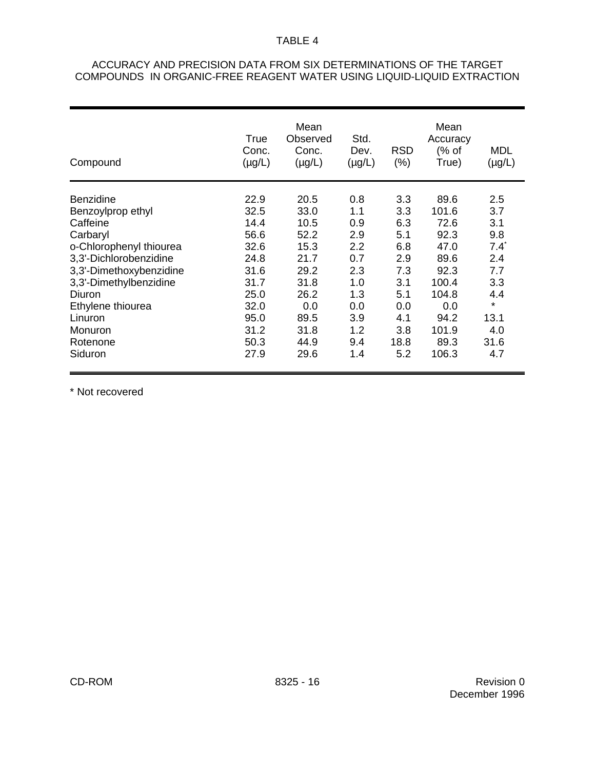### ACCURACY AND PRECISION DATA FROM SIX DETERMINATIONS OF THE TARGET COMPOUNDS IN ORGANIC-FREE REAGENT WATER USING LIQUID-LIQUID EXTRACTION

| Compound                | True<br>Conc.<br>$(\mu g/L)$ | Mean<br>Observed<br>Conc.<br>$(\mu g/L)$ | Std.<br>Dev.<br>$(\mu g/L)$ | <b>RSD</b><br>(% ) | Mean<br>Accuracy<br>(% of<br>True) | <b>MDL</b><br>$(\mu g/L)$ |
|-------------------------|------------------------------|------------------------------------------|-----------------------------|--------------------|------------------------------------|---------------------------|
| <b>Benzidine</b>        | 22.9                         | 20.5                                     | 0.8                         | 3.3                | 89.6                               | 2.5                       |
| Benzoylprop ethyl       | 32.5                         | 33.0                                     | 1.1                         | 3.3                | 101.6                              | 3.7                       |
| Caffeine                | 14.4                         | 10.5                                     | 0.9                         | 6.3                | 72.6                               | 3.1                       |
| Carbaryl                | 56.6                         | 52.2                                     | 2.9                         | 5.1                | 92.3                               | 9.8                       |
| o-Chlorophenyl thiourea | 32.6                         | 15.3                                     | 2.2                         | 6.8                | 47.0                               | $7.4^{\degree}$           |
| 3,3'-Dichlorobenzidine  | 24.8                         | 21.7                                     | 0.7                         | 2.9                | 89.6                               | 2.4                       |
| 3,3'-Dimethoxybenzidine | 31.6                         | 29.2                                     | 2.3                         | 7.3                | 92.3                               | 7.7                       |
| 3,3'-Dimethylbenzidine  | 31.7                         | 31.8                                     | 1.0                         | 3.1                | 100.4                              | 3.3                       |
| Diuron                  | 25.0                         | 26.2                                     | 1.3                         | 5.1                | 104.8                              | 4.4                       |
| Ethylene thiourea       | 32.0                         | 0.0                                      | 0.0                         | 0.0                | 0.0                                | $\star$                   |
| Linuron                 | 95.0                         | 89.5                                     | 3.9                         | 4.1                | 94.2                               | 13.1                      |
| Monuron                 | 31.2                         | 31.8                                     | 1.2                         | 3.8                | 101.9                              | 4.0                       |
| Rotenone                | 50.3                         | 44.9                                     | 9.4                         | 18.8               | 89.3                               | 31.6                      |
| Siduron                 | 27.9                         | 29.6                                     | 1.4                         | 5.2                | 106.3                              | 4.7                       |

\* Not recovered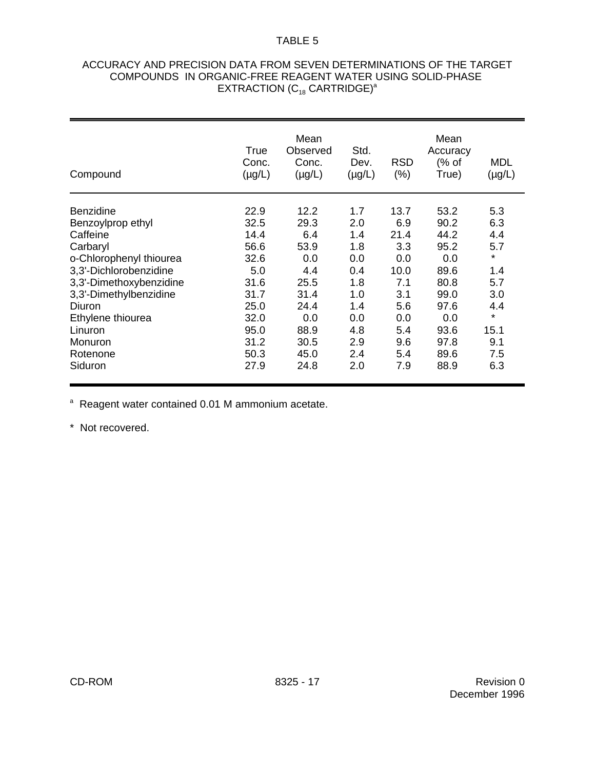## ACCURACY AND PRECISION DATA FROM SEVEN DETERMINATIONS OF THE TARGET COMPOUNDS IN ORGANIC-FREE REAGENT WATER USING SOLID-PHASE  $\mathsf{EXTRACTION}$  (C<sub>18</sub> CARTRIDGE)<sup>a</sup>

| Compound                | True<br>Conc.<br>$(\mu g/L)$ | Mean<br>Observed<br>Conc.<br>$(\mu g/L)$ | Std.<br>Dev.<br>$(\mu g/L)$ | <b>RSD</b><br>(% ) | Mean<br>Accuracy<br>(% of<br>True) | <b>MDL</b><br>$(\mu g/L)$ |
|-------------------------|------------------------------|------------------------------------------|-----------------------------|--------------------|------------------------------------|---------------------------|
| Benzidine               | 22.9                         | 12.2                                     | 1.7                         | 13.7               | 53.2                               | 5.3                       |
| Benzoylprop ethyl       | 32.5                         | 29.3                                     | 2.0                         | 6.9                | 90.2                               | 6.3                       |
| Caffeine                | 14.4                         | 6.4                                      | 1.4                         | 21.4               | 44.2                               | 4.4                       |
| Carbaryl                | 56.6                         | 53.9                                     | 1.8                         | 3.3                | 95.2                               | 5.7                       |
| o-Chlorophenyl thiourea | 32.6                         | 0.0                                      | 0.0                         | 0.0                | 0.0                                | $\star$                   |
| 3,3'-Dichlorobenzidine  | 5.0                          | 4.4                                      | 0.4                         | 10.0               | 89.6                               | 1.4                       |
| 3,3'-Dimethoxybenzidine | 31.6                         | 25.5                                     | 1.8                         | 7.1                | 80.8                               | 5.7                       |
| 3,3'-Dimethylbenzidine  | 31.7                         | 31.4                                     | 1.0                         | 3.1                | 99.0                               | 3.0                       |
| Diuron                  | 25.0                         | 24.4                                     | 1.4                         | 5.6                | 97.6                               | 4.4                       |
| Ethylene thiourea       | 32.0                         | 0.0                                      | 0.0                         | 0.0                | 0.0                                | $\star$                   |
| Linuron                 | 95.0                         | 88.9                                     | 4.8                         | 5.4                | 93.6                               | 15.1                      |
| Monuron                 | 31.2                         | 30.5                                     | 2.9                         | 9.6                | 97.8                               | 9.1                       |
| Rotenone                | 50.3                         | 45.0                                     | 2.4                         | 5.4                | 89.6                               | 7.5                       |
| Siduron                 | 27.9                         | 24.8                                     | 2.0                         | 7.9                | 88.9                               | 6.3                       |

 $^{\circ}$  Reagent water contained 0.01 M ammonium acetate.

\* Not recovered.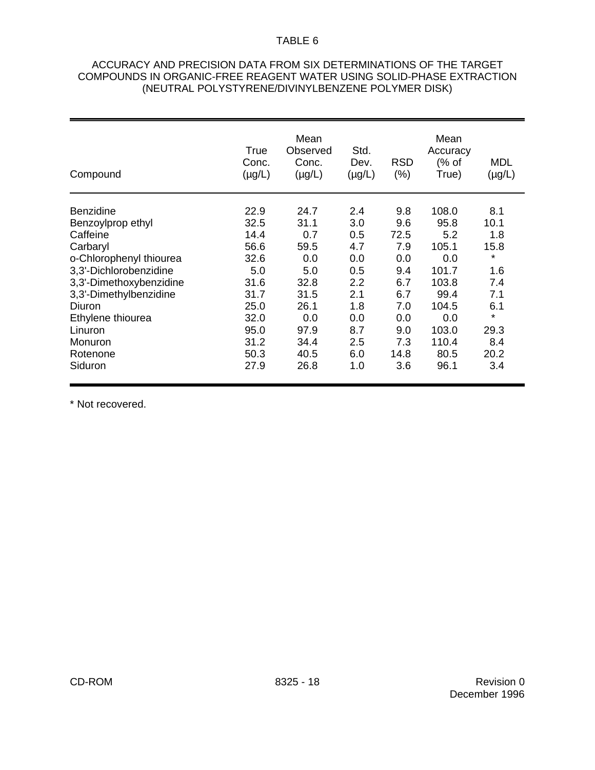#### ACCURACY AND PRECISION DATA FROM SIX DETERMINATIONS OF THE TARGET COMPOUNDS IN ORGANIC-FREE REAGENT WATER USING SOLID-PHASE EXTRACTION (NEUTRAL POLYSTYRENE/DIVINYLBENZENE POLYMER DISK)

| Compound                | True<br>Conc.<br>$(\mu g/L)$ | Mean<br>Observed<br>Conc.<br>$(\mu g/L)$ | Std.<br>Dev.<br>$(\mu g/L)$ | <b>RSD</b><br>$(\% )$ | Mean<br>Accuracy<br>(% of<br>True) | MDL<br>$(\mu g/L)$ |
|-------------------------|------------------------------|------------------------------------------|-----------------------------|-----------------------|------------------------------------|--------------------|
| <b>Benzidine</b>        | 22.9                         | 24.7                                     | 2.4                         | 9.8                   | 108.0                              | 8.1                |
| Benzoylprop ethyl       | 32.5                         | 31.1                                     | 3.0                         | 9.6                   | 95.8                               | 10.1               |
| Caffeine                | 14.4                         | 0.7                                      | 0.5                         | 72.5                  | 5.2                                | 1.8                |
| Carbaryl                | 56.6                         | 59.5                                     | 4.7                         | 7.9                   | 105.1                              | 15.8               |
| o-Chlorophenyl thiourea | 32.6                         | 0.0                                      | 0.0                         | 0.0                   | 0.0                                | $\star$            |
| 3,3'-Dichlorobenzidine  | 5.0                          | 5.0                                      | 0.5                         | 9.4                   | 101.7                              | 1.6                |
| 3,3'-Dimethoxybenzidine | 31.6                         | 32.8                                     | 2.2                         | 6.7                   | 103.8                              | 7.4                |
| 3,3'-Dimethylbenzidine  | 31.7                         | 31.5                                     | 2.1                         | 6.7                   | 99.4                               | 7.1                |
| Diuron                  | 25.0                         | 26.1                                     | 1.8                         | 7.0                   | 104.5                              | 6.1                |
| Ethylene thiourea       | 32.0                         | 0.0                                      | 0.0                         | 0.0                   | 0.0                                | $\star$            |
| Linuron                 | 95.0                         | 97.9                                     | 8.7                         | 9.0                   | 103.0                              | 29.3               |
| Monuron                 | 31.2                         | 34.4                                     | 2.5                         | 7.3                   | 110.4                              | 8.4                |
| Rotenone                | 50.3                         | 40.5                                     | 6.0                         | 14.8                  | 80.5                               | 20.2               |
| Siduron                 | 27.9                         | 26.8                                     | 1.0                         | 3.6                   | 96.1                               | 3.4                |

\* Not recovered.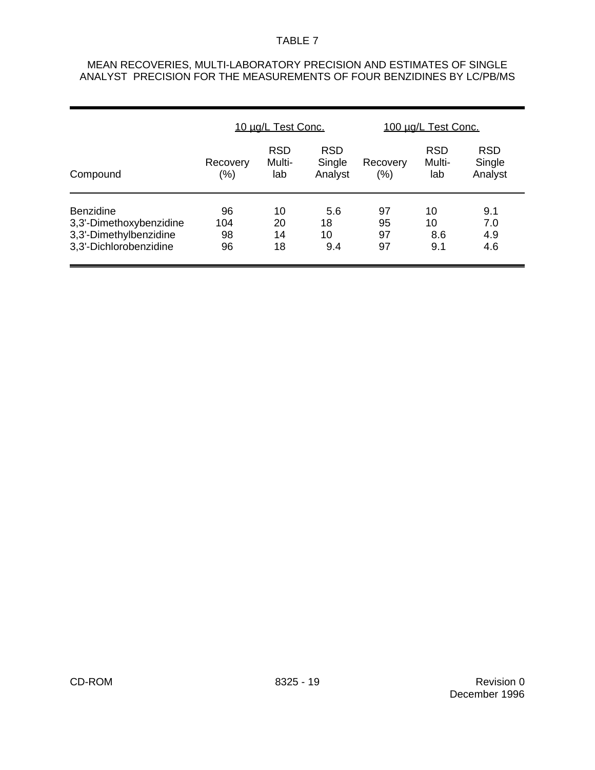#### MEAN RECOVERIES, MULTI-LABORATORY PRECISION AND ESTIMATES OF SINGLE ANALYST PRECISION FOR THE MEASUREMENTS OF FOUR BENZIDINES BY LC/PB/MS

|                                                                                                 | 10 µg/L Test Conc.    |                             |                                 | 100 µg/L Test Conc.  |                             |                                 |  |  |
|-------------------------------------------------------------------------------------------------|-----------------------|-----------------------------|---------------------------------|----------------------|-----------------------------|---------------------------------|--|--|
| Compound                                                                                        | Recovery<br>$(\% )$   | <b>RSD</b><br>Multi-<br>lab | <b>RSD</b><br>Single<br>Analyst | Recovery<br>$(\% )$  | <b>RSD</b><br>Multi-<br>lab | <b>RSD</b><br>Single<br>Analyst |  |  |
| <b>Benzidine</b><br>3,3'-Dimethoxybenzidine<br>3,3'-Dimethylbenzidine<br>3,3'-Dichlorobenzidine | 96<br>104<br>98<br>96 | 10<br>20<br>14<br>18        | 5.6<br>18<br>10<br>9.4          | 97<br>95<br>97<br>97 | 10<br>10<br>8.6<br>9.1      | 9.1<br>7.0<br>4.9<br>4.6        |  |  |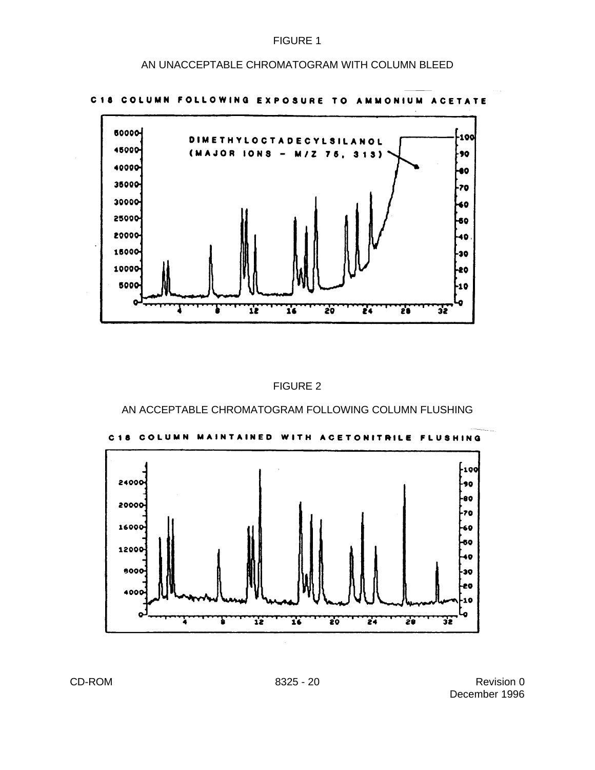

FIGURE 1



C18 COLUMN FOLLOWING EXPOSURE TO AMMONIUM ACETATE

#### FIGURE 2

AN ACCEPTABLE CHROMATOGRAM FOLLOWING COLUMN FLUSHING



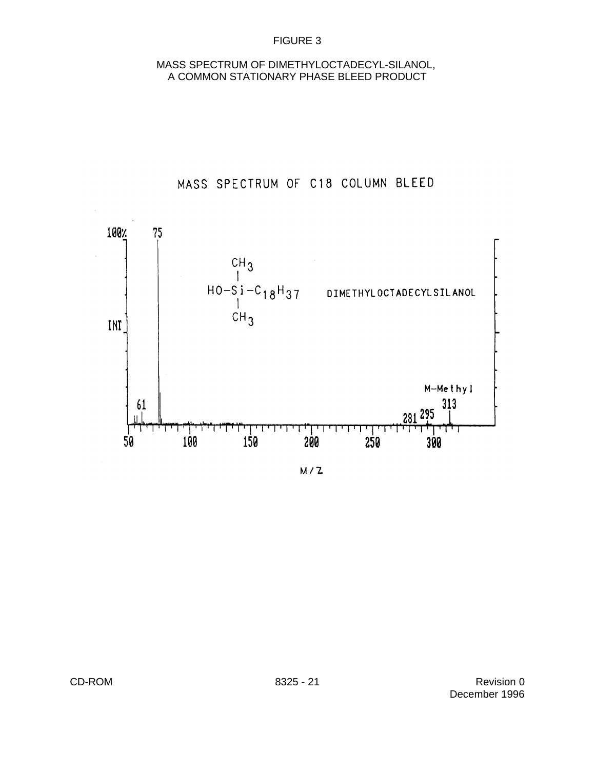#### FIGURE 3

MASS SPECTRUM OF DIMETHYLOCTADECYL-SILANOL, A COMMON STATIONARY PHASE BLEED PRODUCT

MASS SPECTRUM OF C18 COLUMN BLEED



 $M/Z$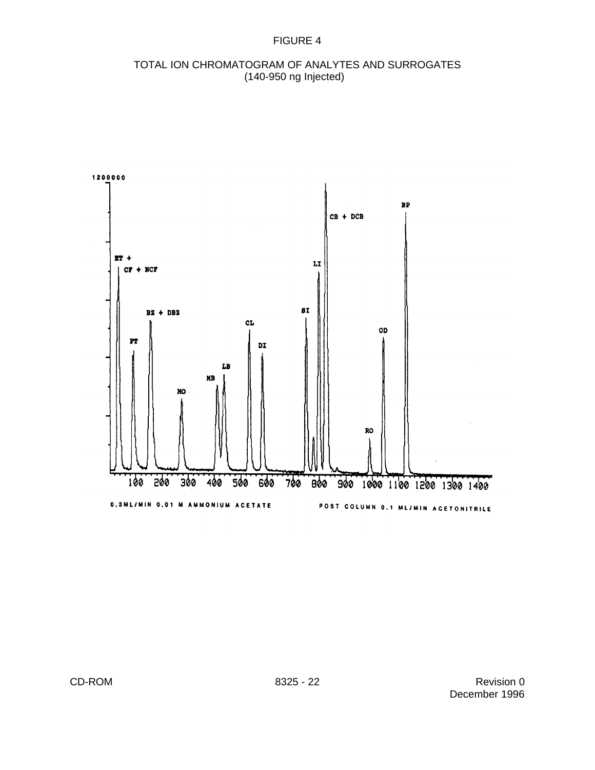# FIGURE 4

## TOTAL ION CHROMATOGRAM OF ANALYTES AND SURROGATES (140-950 ng Injected)



CD-ROM 8325 - 22 Revision 0 December 1996